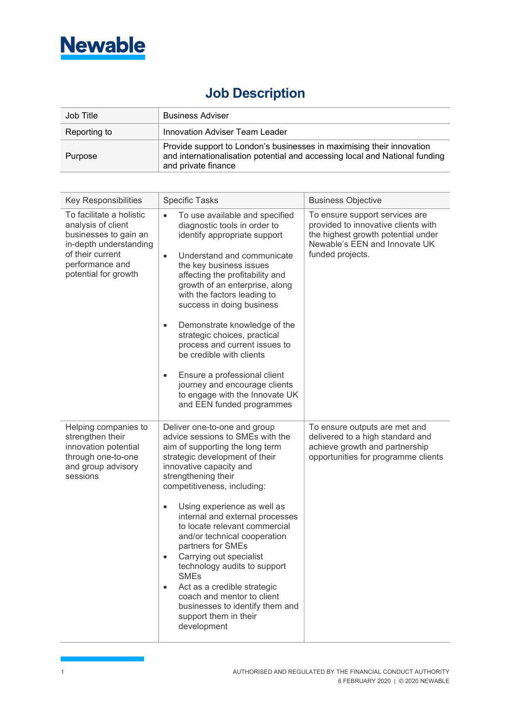

## **Job Description**

| Job Title    | <b>Business Adviser</b>                                                                                                                                                     |
|--------------|-----------------------------------------------------------------------------------------------------------------------------------------------------------------------------|
| Reporting to | Innovation Adviser Team Leader                                                                                                                                              |
| Purpose      | Provide support to London's businesses in maximising their innovation<br>and internationalisation potential and accessing local and National funding<br>and private finance |

| <b>Key Responsibilities</b>                                                                                                                                      | <b>Specific Tasks</b>                                                                                                                                                                                                                                                                                                                                                                                                                                                                                                                                                                                                                   | <b>Business Objective</b>                                                                                                                                        |
|------------------------------------------------------------------------------------------------------------------------------------------------------------------|-----------------------------------------------------------------------------------------------------------------------------------------------------------------------------------------------------------------------------------------------------------------------------------------------------------------------------------------------------------------------------------------------------------------------------------------------------------------------------------------------------------------------------------------------------------------------------------------------------------------------------------------|------------------------------------------------------------------------------------------------------------------------------------------------------------------|
| To facilitate a holistic<br>analysis of client<br>businesses to gain an<br>in-depth understanding<br>of their current<br>performance and<br>potential for growth | To use available and specified<br>$\bullet$<br>diagnostic tools in order to<br>identify appropriate support<br>Understand and communicate<br>$\bullet$<br>the key business issues<br>affecting the profitability and<br>growth of an enterprise, along<br>with the factors leading to<br>success in doing business<br>Demonstrate knowledge of the<br>$\bullet$<br>strategic choices, practical<br>process and current issues to<br>be credible with clients<br>Ensure a professional client<br>$\bullet$<br>journey and encourage clients<br>to engage with the Innovate UK<br>and EEN funded programmes                               | To ensure support services are<br>provided to innovative clients with<br>the highest growth potential under<br>Newable's EEN and Innovate UK<br>funded projects. |
| Helping companies to<br>strengthen their<br>innovation potential<br>through one-to-one<br>and group advisory<br>sessions                                         | Deliver one-to-one and group<br>advice sessions to SMEs with the<br>aim of supporting the long term<br>strategic development of their<br>innovative capacity and<br>strengthening their<br>competitiveness, including:<br>Using experience as well as<br>$\bullet$<br>internal and external processes<br>to locate relevant commercial<br>and/or technical cooperation<br>partners for SMEs<br>Carrying out specialist<br>$\bullet$<br>technology audits to support<br><b>SMEs</b><br>Act as a credible strategic<br>$\bullet$<br>coach and mentor to client<br>businesses to identify them and<br>support them in their<br>development | To ensure outputs are met and<br>delivered to a high standard and<br>achieve growth and partnership<br>opportunities for programme clients                       |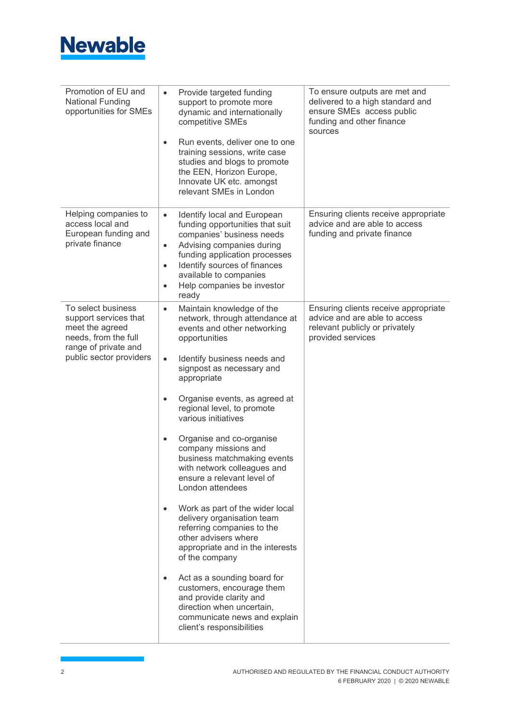

| Promotion of EU and<br><b>National Funding</b><br>opportunities for SMEs                                                                  | Provide targeted funding<br>$\bullet$<br>support to promote more<br>dynamic and internationally<br>competitive SMEs<br>Run events, deliver one to one<br>$\bullet$<br>training sessions, write case<br>studies and blogs to promote<br>the EEN, Horizon Europe,<br>Innovate UK etc. amongst<br>relevant SMEs in London                                                                                                                                                                                                                                                                                                                                                                                                                                                                                                                                                                       | To ensure outputs are met and<br>delivered to a high standard and<br>ensure SMEs access public<br>funding and other finance<br>sources |
|-------------------------------------------------------------------------------------------------------------------------------------------|----------------------------------------------------------------------------------------------------------------------------------------------------------------------------------------------------------------------------------------------------------------------------------------------------------------------------------------------------------------------------------------------------------------------------------------------------------------------------------------------------------------------------------------------------------------------------------------------------------------------------------------------------------------------------------------------------------------------------------------------------------------------------------------------------------------------------------------------------------------------------------------------|----------------------------------------------------------------------------------------------------------------------------------------|
| Helping companies to<br>access local and<br>European funding and<br>private finance                                                       | Identify local and European<br>$\bullet$<br>funding opportunities that suit<br>companies' business needs<br>Advising companies during<br>$\bullet$<br>funding application processes<br>Identify sources of finances<br>$\bullet$<br>available to companies<br>Help companies be investor<br>$\bullet$<br>ready                                                                                                                                                                                                                                                                                                                                                                                                                                                                                                                                                                               | Ensuring clients receive appropriate<br>advice and are able to access<br>funding and private finance                                   |
| To select business<br>support services that<br>meet the agreed<br>needs, from the full<br>range of private and<br>public sector providers | Maintain knowledge of the<br>$\bullet$<br>network, through attendance at<br>events and other networking<br>opportunities<br>Identify business needs and<br>$\bullet$<br>signpost as necessary and<br>appropriate<br>Organise events, as agreed at<br>$\bullet$<br>regional level, to promote<br>various initiatives<br>Organise and co-organise<br>$\bullet$<br>company missions and<br>business matchmaking events<br>with network colleagues and<br>ensure a relevant level of<br>London attendees<br>Work as part of the wider local<br>$\bullet$<br>delivery organisation team<br>referring companies to the<br>other advisers where<br>appropriate and in the interests<br>of the company<br>Act as a sounding board for<br>$\bullet$<br>customers, encourage them<br>and provide clarity and<br>direction when uncertain,<br>communicate news and explain<br>client's responsibilities | Ensuring clients receive appropriate<br>advice and are able to access<br>relevant publicly or privately<br>provided services           |

ī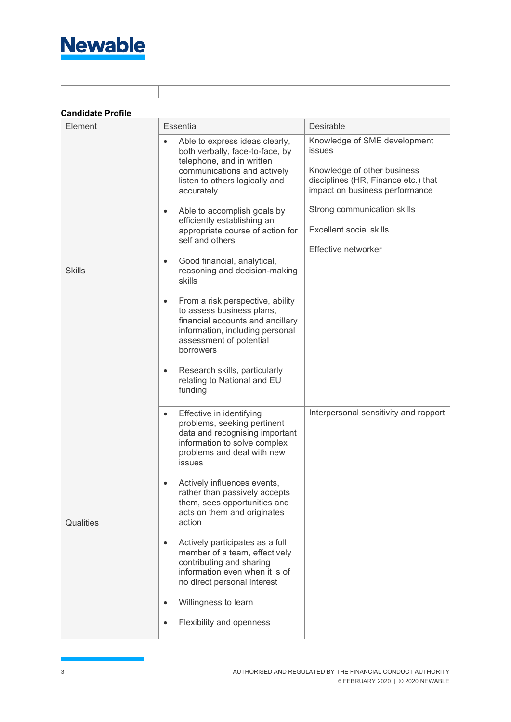

| Element       | Essential                                                                                                                                                                                                                                                                                                                                                                                                                                                                                                                                                                                                                                                                                        | Desirable                                                                                                                                                                                                                                     |
|---------------|--------------------------------------------------------------------------------------------------------------------------------------------------------------------------------------------------------------------------------------------------------------------------------------------------------------------------------------------------------------------------------------------------------------------------------------------------------------------------------------------------------------------------------------------------------------------------------------------------------------------------------------------------------------------------------------------------|-----------------------------------------------------------------------------------------------------------------------------------------------------------------------------------------------------------------------------------------------|
| <b>Skills</b> | Able to express ideas clearly,<br>$\bullet$<br>both verbally, face-to-face, by<br>telephone, and in written<br>communications and actively<br>listen to others logically and<br>accurately<br>Able to accomplish goals by<br>$\bullet$<br>efficiently establishing an<br>appropriate course of action for<br>self and others<br>Good financial, analytical,<br>$\bullet$<br>reasoning and decision-making<br>skills<br>From a risk perspective, ability<br>٠<br>to assess business plans,<br>financial accounts and ancillary<br>information, including personal<br>assessment of potential<br>borrowers<br>Research skills, particularly<br>$\bullet$<br>relating to National and EU<br>funding | Knowledge of SME development<br><b>issues</b><br>Knowledge of other business<br>disciplines (HR, Finance etc.) that<br>impact on business performance<br>Strong communication skills<br><b>Excellent social skills</b><br>Effective networker |
| Qualities     | Effective in identifying<br>$\bullet$<br>problems, seeking pertinent<br>data and recognising important<br>information to solve complex<br>problems and deal with new<br><b>issues</b><br>Actively influences events,<br>$\bullet$<br>rather than passively accepts<br>them, sees opportunities and<br>acts on them and originates<br>action<br>Actively participates as a full<br>$\bullet$<br>member of a team, effectively<br>contributing and sharing<br>information even when it is of<br>no direct personal interest<br>Willingness to learn<br>$\bullet$<br>Flexibility and openness<br>$\bullet$                                                                                          | Interpersonal sensitivity and rapport                                                                                                                                                                                                         |

ī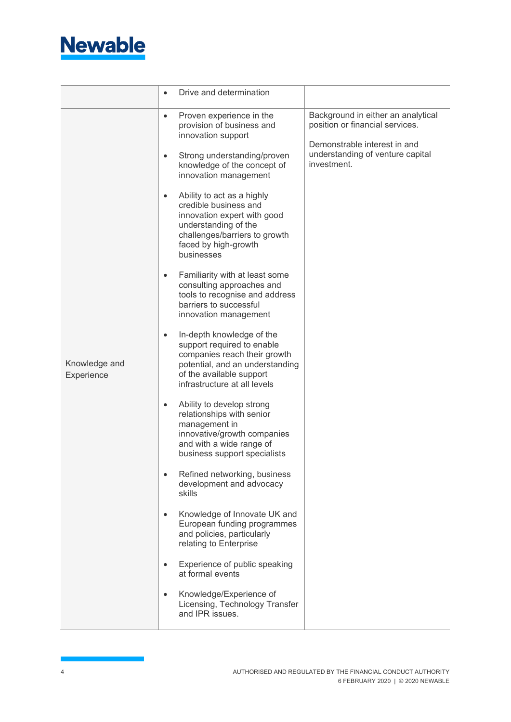

|                             |           | Drive and determination                                                                                                                                                                |                                                                                 |
|-----------------------------|-----------|----------------------------------------------------------------------------------------------------------------------------------------------------------------------------------------|---------------------------------------------------------------------------------|
| Knowledge and<br>Experience | $\bullet$ | Proven experience in the<br>provision of business and<br>innovation support                                                                                                            | Background in either an analytical<br>position or financial services.           |
|                             | $\bullet$ | Strong understanding/proven<br>knowledge of the concept of<br>innovation management                                                                                                    | Demonstrable interest in and<br>understanding of venture capital<br>investment. |
|                             | $\bullet$ | Ability to act as a highly<br>credible business and<br>innovation expert with good<br>understanding of the<br>challenges/barriers to growth<br>faced by high-growth<br>businesses      |                                                                                 |
|                             | $\bullet$ | Familiarity with at least some<br>consulting approaches and<br>tools to recognise and address<br>barriers to successful<br>innovation management                                       |                                                                                 |
|                             | $\bullet$ | In-depth knowledge of the<br>support required to enable<br>companies reach their growth<br>potential, and an understanding<br>of the available support<br>infrastructure at all levels |                                                                                 |
|                             | $\bullet$ | Ability to develop strong<br>relationships with senior<br>management in<br>innovative/growth companies<br>and with a wide range of<br>business support specialists                     |                                                                                 |
|                             |           | Refined networking, business<br>development and advocacy<br>skills                                                                                                                     |                                                                                 |
|                             | $\bullet$ | Knowledge of Innovate UK and<br>European funding programmes<br>and policies, particularly<br>relating to Enterprise                                                                    |                                                                                 |
|                             | $\bullet$ | Experience of public speaking<br>at formal events                                                                                                                                      |                                                                                 |
|                             | $\bullet$ | Knowledge/Experience of<br>Licensing, Technology Transfer<br>and IPR issues.                                                                                                           |                                                                                 |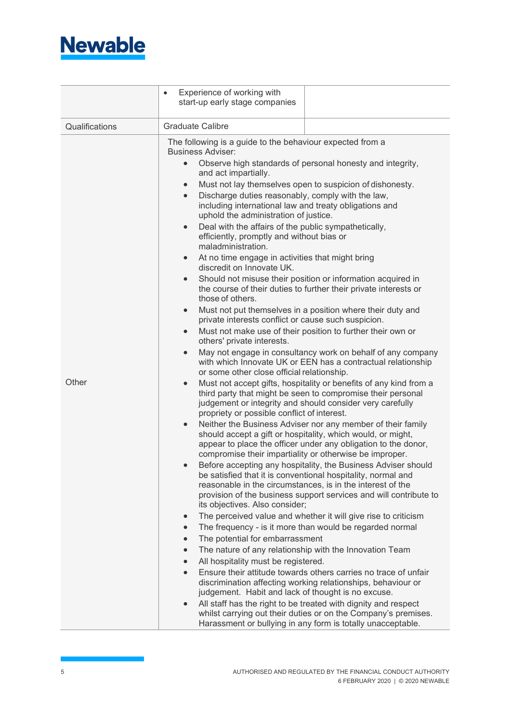

|                | Experience of working with<br>$\bullet$<br>start-up early stage companies                                                                                                                                                                                                                                                                                     |
|----------------|---------------------------------------------------------------------------------------------------------------------------------------------------------------------------------------------------------------------------------------------------------------------------------------------------------------------------------------------------------------|
| Qualifications | <b>Graduate Calibre</b>                                                                                                                                                                                                                                                                                                                                       |
|                | The following is a guide to the behaviour expected from a<br><b>Business Adviser:</b><br>Observe high standards of personal honesty and integrity,<br>$\bullet$                                                                                                                                                                                               |
|                | and act impartially.                                                                                                                                                                                                                                                                                                                                          |
|                | Must not lay themselves open to suspicion of dishonesty.<br>$\bullet$<br>$\bullet$                                                                                                                                                                                                                                                                            |
| Other          | Discharge duties reasonably, comply with the law,<br>including international law and treaty obligations and<br>uphold the administration of justice.                                                                                                                                                                                                          |
|                | Deal with the affairs of the public sympathetically,<br>$\bullet$<br>efficiently, promptly and without bias or<br>maladministration.                                                                                                                                                                                                                          |
|                | At no time engage in activities that might bring<br>$\bullet$<br>discredit on Innovate UK.                                                                                                                                                                                                                                                                    |
|                | Should not misuse their position or information acquired in<br>$\bullet$<br>the course of their duties to further their private interests or<br>those of others.                                                                                                                                                                                              |
|                | Must not put themselves in a position where their duty and<br>$\bullet$<br>private interests conflict or cause such suspicion.                                                                                                                                                                                                                                |
|                | Must not make use of their position to further their own or<br>$\bullet$<br>others' private interests.                                                                                                                                                                                                                                                        |
|                | May not engage in consultancy work on behalf of any company<br>$\bullet$<br>with which Innovate UK or EEN has a contractual relationship<br>or some other close official relationship.                                                                                                                                                                        |
|                | Must not accept gifts, hospitality or benefits of any kind from a<br>$\bullet$<br>third party that might be seen to compromise their personal<br>judgement or integrity and should consider very carefully<br>propriety or possible conflict of interest.                                                                                                     |
|                | Neither the Business Adviser nor any member of their family<br>$\bullet$<br>should accept a gift or hospitality, which would, or might,<br>appear to place the officer under any obligation to the donor,                                                                                                                                                     |
|                | compromise their impartiality or otherwise be improper.<br>Before accepting any hospitality, the Business Adviser should<br>be satisfied that it is conventional hospitality, normal and<br>reasonable in the circumstances, is in the interest of the<br>provision of the business support services and will contribute to<br>its objectives. Also consider; |
|                | The perceived value and whether it will give rise to criticism<br>$\bullet$                                                                                                                                                                                                                                                                                   |
|                | The frequency - is it more than would be regarded normal                                                                                                                                                                                                                                                                                                      |
|                | The potential for embarrassment<br>$\bullet$                                                                                                                                                                                                                                                                                                                  |
|                | The nature of any relationship with the Innovation Team<br>$\bullet$<br>All hospitality must be registered.                                                                                                                                                                                                                                                   |
|                | Ensure their attitude towards others carries no trace of unfair                                                                                                                                                                                                                                                                                               |
|                | discrimination affecting working relationships, behaviour or                                                                                                                                                                                                                                                                                                  |
|                | judgement. Habit and lack of thought is no excuse.                                                                                                                                                                                                                                                                                                            |
|                | All staff has the right to be treated with dignity and respect<br>whilst carrying out their duties or on the Company's premises.<br>Harassment or bullying in any form is totally unacceptable.                                                                                                                                                               |